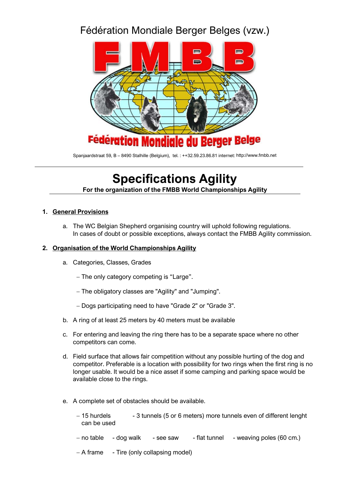# Fédération Mondiale Berger Belges (vzw.)



Spanjaardstraat 59, B – 8490 Stalhille (Belgium), tel. : ++32.59.23.86.81 internet[: http://www.fmbb.net](http://www.fmbb.net/)

# **Specifications Agility For the organization of the FMBB World Championships Agility**

#### **1. General Provisions**

a. The WC Belgian Shepherd organising country will uphold following regulations. In cases of doubt or possible exceptions, always contact the FMBB Agility commission.

#### **2. Organisation of the World Championships Agility**

- a. Categories, Classes, Grades
	- − The only category competing is "Large".
	- − The obligatory classes are "Agility" and "Jumping".
	- − Dogs participating need to have "Grade 2" or "Grade 3".
- b. A ring of at least 25 meters by 40 meters must be available
- c. For entering and leaving the ring there has to be a separate space where no other competitors can come.
- d. Field surface that allows fair competition without any possible hurting of the dog and competitor. Preferable is a location with possibility for two rings when the first ring is no longer usable. It would be a nice asset if some camping and parking space would be available close to the rings.
- e. A complete set of obstacles should be available.
	- − 15 hurdels 3 tunnels (5 or 6 meters) more tunnels even of different lenght can be used
	- − no table dog walk see saw flat tunnel weaving poles (60 cm.)
	- − A frame Tire (only collapsing model)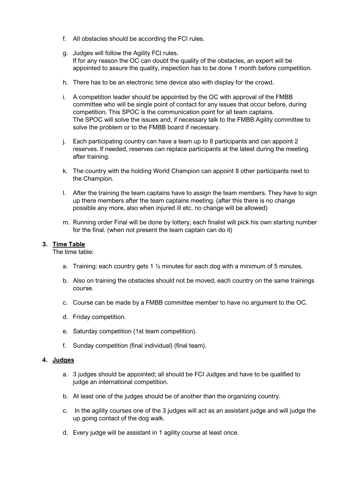- f. All obstacles should be according the FCI rules.
- g. Judges will follow the Agility FCI rules. If for any reason the OC can doubt the quality of the obstacles, an expert will be appointed to assure the quality, inspection has to be done 1 month before competition.
- h. There has to be an electronic time device also with display for the crowd.
- i. A competition leader should be appointed by the OC with approval of the FMBB committee who will be single point of contact for any issues that occur before, during competition. This SPOC is the communication point for all team captains. The SPOC will solve the issues and, if necessary talk to the FMBB Agility committee to solve the problem or to the FMBB board if necessary.
- j. Each participating country can have a team up to 8 participants and can appoint 2 reserves. If needed, reserves can replace participants at the latest during the meeting after training.
- k. The country with the holding World Champion can appoint 8 other participants next to the Champion.
- l. After the training the team captains have to assign the team members. They have to sign up there members after the team captains meeting. (after this there is no change possible any more, also when injured ill etc. no change will be allowed)
- m. Running order Final will be done by lottery, each finalist will pick his own starting number for the final. (when not present the team captain can do it)

#### **3. Time Table**

The time table:

- a. Training: each country gets 1  $\frac{1}{2}$  minutes for each dog with a minimum of 5 minutes.
- b. Also on training the obstacles should not be moved, each country on the same trainings course.
- c. Course can be made by a FMBB committee member to have no argument to the OC.
- d. Friday competition.
- e. Saturday competition (1st team competition).
- f. Sunday competition (final individual) (final team).

#### **4. Judges**

- a. 3 judges should be appointed; all should be FCI Judges and have to be qualified to judge an international competition.
- b. At least one of the judges should be of another than the organizing country.
- c. In the agility courses one of the 3 judges will act as an assistant judge and will judge the up going contact of the dog walk.
- d. Every judge will be assistant in 1 agility course at least once.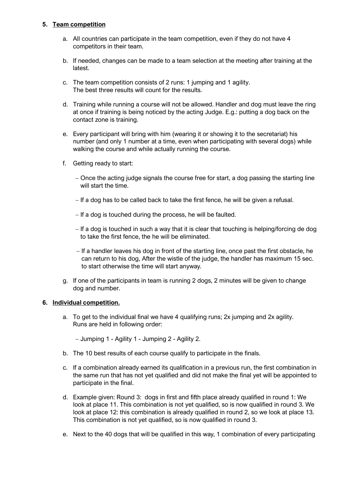#### **5. Team competition**

- a. All countries can participate in the team competition, even if they do not have 4 competitors in their team.
- b. If needed, changes can be made to a team selection at the meeting after training at the latest.
- c. The team competition consists of 2 runs: 1 jumping and 1 agility. The best three results will count for the results.
- d. Training while running a course will not be allowed. Handler and dog must leave the ring at once if training is being noticed by the acting Judge. E.g.: putting a dog back on the contact zone is training.
- e. Every participant will bring with him (wearing it or showing it to the secretariat) his number (and only 1 number at a time, even when participating with several dogs) while walking the course and while actually running the course.
- f. Getting ready to start:
	- − Once the acting judge signals the course free for start, a dog passing the starting line will start the time.
	- − If a dog has to be called back to take the first fence, he will be given a refusal.
	- − If a dog is touched during the process, he will be faulted.
	- − If a dog is touched in such a way that it is clear that touching is helping/forcing de dog to take the first fence, the he will be eliminated.
	- − If a handler leaves his dog in front of the starting line, once past the first obstacle, he can return to his dog, After the wistle of the judge, the handler has maximum 15 sec. to start otherwise the time will start anyway.
- g. If one of the participants in team is running 2 dogs, 2 minutes will be given to change dog and number.

### **6. Individual competition.**

a. To get to the individual final we have 4 qualifying runs; 2x jumping and 2x agility. Runs are held in following order:

− Jumping 1 - Agility 1 - Jumping 2 - Agility 2.

- b. The 10 best results of each course qualify to participate in the finals.
- c. If a combination already earned its qualification in a previous run, the first combination in the same run that has not yet qualified and did not make the final yet will be appointed to participate in the final.
- d. Example given: Round 3: dogs in first and fifth place already qualified in round 1: We look at place 11. This combination is not yet qualified, so is now qualified in round 3. We look at place 12: this combination is already qualified in round 2, so we look at place 13. This combination is not yet qualified, so is now qualified in round 3.
- e. Next to the 40 dogs that will be qualified in this way, 1 combination of every participating